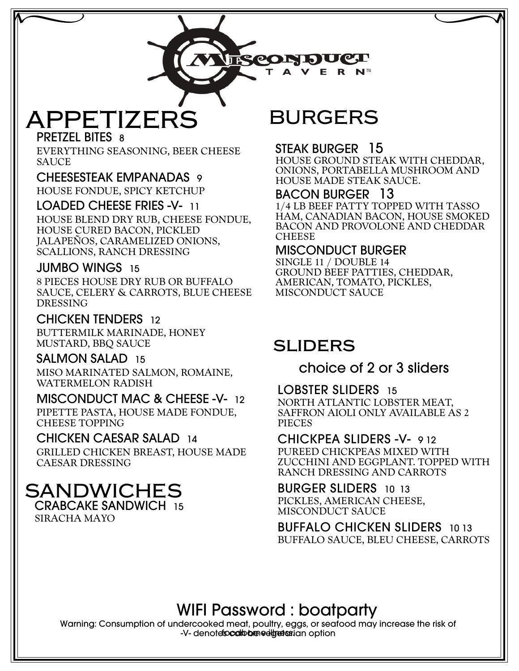E R N™

**TREORDUCT** 

# **APPETIZERS**

PRETZEL BITES 8

EVERYTHING SEASONING, BEER CHEESE SAUCE

#### CHEESESTEAK EMPANADAS 9

HOUSE FONDUE, SPICY KETCHUP

LOADED CHEESE FRIES -V- 11 HOUSE BLEND DRY RUB, CHEESE FONDUE, HOUSE CURED BACON, PICKLED JALAPEÑOS, CARAMELIZED ONIONS, SCALLIONS, RANCH DRESSING

#### JUMBO WINGS 15

8 PIECES HOUSE DRY RUB OR BUFFALO SAUCE, CELERY & CARROTS, BLUE CHEESE DRESSING

CHICKEN TENDERS 12 BUTTERMILK MARINADE, HONEY MUSTARD, BBQ SAUCE

#### SALMON SALAD 15

MISO MARINATED SALMON, ROMAINE, WATERMELON RADISH

MISCONDUCT MAC & CHEESE -V- 12 PIPETTE PASTA, HOUSE MADE FONDUE, CHEESE TOPPING

#### CHICKEN CAESAR SALAD 14

GRILLED CHICKEN BREAST, HOUSE MADE CAESAR DRESSING

#### **SANDWICHES** CRABCAKE SANDWICH 15

SIRACHA MAYO

## **BURGERS**

#### STEAK BURGER 15

HOUSE GROUND STEAK WITH CHEDDAR, ONIONS, PORTABELLA MUSHROOM AND HOUSE MADE STEAK SAUCE.

#### BACON BURGER 13

1/4 LB BEEF PATTY TOPPED WITH TASSO HAM, CANADIAN BACON, HOUSE SMOKED BACON AND PROVOLONE AND CHEDDAR **CHEESE** 

#### MISCONDUCT BURGER

SINGLE 11 / DOUBLE 14 GROUND BEEF PATTIES, CHEDDAR, AMERICAN, TOMATO, PICKLES, MISCONDUCT SAUCE

### **sliders**

#### choice of 2 or 3 sliders

#### LOBSTER SLIDERS 15

NORTH ATLANTIC LOBSTER MEAT, SAFFRON AIOLI ONLY AVAILABLE AS 2 PIECES

CHICKPEA SLIDERS -V- 9 12 PUREED CHICKPEAS MIXED WITH ZUCCHINI AND EGGPLANT. TOPPED WITH RANCH DRESSING AND CARROTS

#### BURGER SLIDERS 10 13

PICKLES, AMERICAN CHEESE, MISCONDUCT SAUCE

BUFFALO CHICKEN SLIDERS 10 13 BUFFALO SAUCE, BLEU CHEESE, CARROTS

### WIFI Password : boatparty

Warning: Consumption of undercooked meat, poultry, eggs, or seafood may increase the risk of -V- denotefsocal bom editients and option